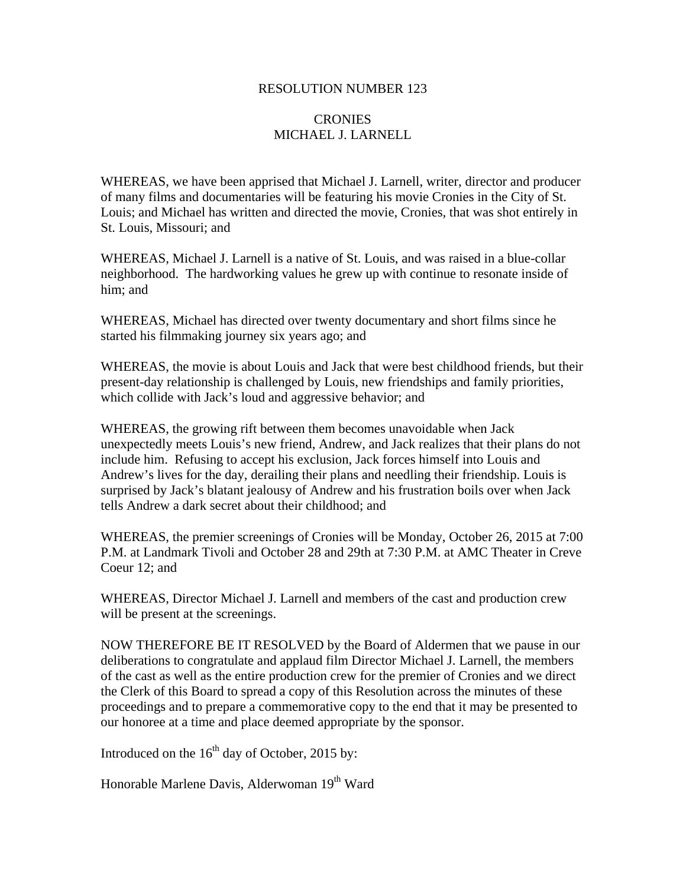## RESOLUTION NUMBER 123

## CRONIES MICHAEL J. LARNELL

WHEREAS, we have been apprised that Michael J. Larnell, writer, director and producer of many films and documentaries will be featuring his movie Cronies in the City of St. Louis; and Michael has written and directed the movie, Cronies, that was shot entirely in St. Louis, Missouri; and

WHEREAS, Michael J. Larnell is a native of St. Louis, and was raised in a blue-collar neighborhood. The hardworking values he grew up with continue to resonate inside of him; and

WHEREAS, Michael has directed over twenty documentary and short films since he started his filmmaking journey six years ago; and

WHEREAS, the movie is about Louis and Jack that were best childhood friends, but their present-day relationship is challenged by Louis, new friendships and family priorities, which collide with Jack's loud and aggressive behavior; and

WHEREAS, the growing rift between them becomes unavoidable when Jack unexpectedly meets Louis's new friend, Andrew, and Jack realizes that their plans do not include him. Refusing to accept his exclusion, Jack forces himself into Louis and Andrew's lives for the day, derailing their plans and needling their friendship. Louis is surprised by Jack's blatant jealousy of Andrew and his frustration boils over when Jack tells Andrew a dark secret about their childhood; and

WHEREAS, the premier screenings of Cronies will be Monday, October 26, 2015 at 7:00 P.M. at Landmark Tivoli and October 28 and 29th at 7:30 P.M. at AMC Theater in Creve Coeur 12; and

WHEREAS, Director Michael J. Larnell and members of the cast and production crew will be present at the screenings.

NOW THEREFORE BE IT RESOLVED by the Board of Aldermen that we pause in our deliberations to congratulate and applaud film Director Michael J. Larnell, the members of the cast as well as the entire production crew for the premier of Cronies and we direct the Clerk of this Board to spread a copy of this Resolution across the minutes of these proceedings and to prepare a commemorative copy to the end that it may be presented to our honoree at a time and place deemed appropriate by the sponsor.

Introduced on the  $16<sup>th</sup>$  day of October, 2015 by:

Honorable Marlene Davis, Alderwoman 19<sup>th</sup> Ward